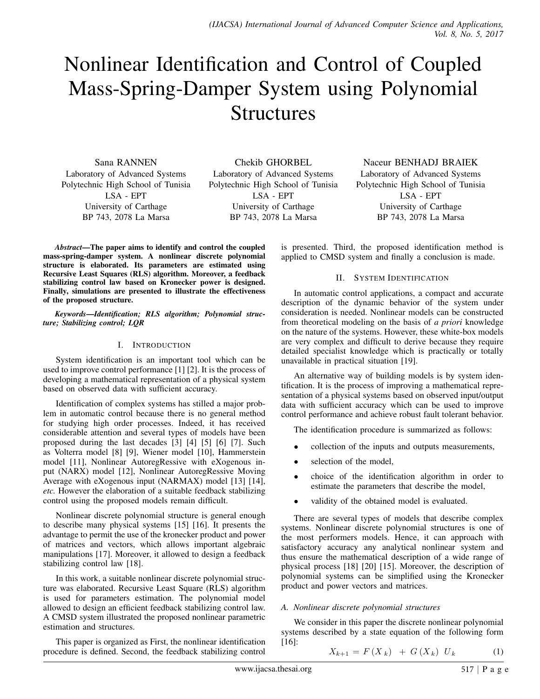# Nonlinear Identification and Control of Coupled Mass-Spring-Damper System using Polynomial **Structures**

Sana RANNEN Laboratory of Advanced Systems Polytechnic High School of Tunisia LSA - EPT University of Carthage BP 743, 2078 La Marsa

Chekib GHORBEL Laboratory of Advanced Systems Polytechnic High School of Tunisia LSA - EPT University of Carthage BP 743, 2078 La Marsa

Naceur BENHADJ BRAIEK Laboratory of Advanced Systems Polytechnic High School of Tunisia LSA - EPT University of Carthage BP 743, 2078 La Marsa

*Abstract*—The paper aims to identify and control the coupled is presented. Third, the proposed identification method is applied to CMSD system and finally a conclusion is made.

## II. SYSTEM IDENTIFICATION

In automatic control applications, a compact and accurate description of the dynamic behavior of the system under consideration is needed. Nonlinear models can be constructed from theoretical modeling on the basis of *a priori* knowledge on the nature of the systems. However, these white-box models are very complex and difficult to derive because they require detailed specialist knowledge which is practically or totally unavailable in practical situation [19].

An alternative way of building models is by system identification. It is the process of improving a mathematical representation of a physical systems based on observed input/output data with sufficient accuracy which can be used to improve control performance and achieve robust fault tolerant behavior.

The identification procedure is summarized as follows:

- collection of the inputs and outputs measurements,
- selection of the model,
- choice of the identification algorithm in order to estimate the parameters that describe the model,
- validity of the obtained model is evaluated.

There are several types of models that describe complex systems. Nonlinear discrete polynomial structures is one of the most performers models. Hence, it can approach with satisfactory accuracy any analytical nonlinear system and thus ensure the mathematical description of a wide range of physical process [18] [20] [15]. Moreover, the description of polynomial systems can be simplified using the Kronecker product and power vectors and matrices.

## *A. Nonlinear discrete polynomial structures*

We consider in this paper the discrete nonlinear polynomial systems described by a state equation of the following form [16]:

$$
X_{k+1} = F(X_k) + G(X_k) U_k \tag{1}
$$

mass-spring-damper system. A nonlinear discrete polynomial structure is elaborated. Its parameters are estimated using Recursive Least Squares (RLS) algorithm. Moreover, a feedback stabilizing control law based on Kronecker power is designed.

Finally, simulations are presented to illustrate the effectiveness of the proposed structure.

*Keywords*—*Identification; RLS algorithm; Polynomial structure; Stabilizing control; LQR*

## I. INTRODUCTION

System identification is an important tool which can be used to improve control performance [1] [2]. It is the process of developing a mathematical representation of a physical system based on observed data with sufficient accuracy.

Identification of complex systems has stilled a major problem in automatic control because there is no general method for studying high order processes. Indeed, it has received considerable attention and several types of models have been proposed during the last decades [3] [4] [5] [6] [7]. Such as Volterra model [8] [9], Wiener model [10], Hammerstein model [11], Nonlinear AutoregRessive with eXogenous input (NARX) model [12], Nonlinear AutoregRessive Moving Average with eXogenous input (NARMAX) model [13] [14], *etc.* However the elaboration of a suitable feedback stabilizing control using the proposed models remain difficult.

Nonlinear discrete polynomial structure is general enough to describe many physical systems [15] [16]. It presents the advantage to permit the use of the kronecker product and power of matrices and vectors, which allows important algebraic manipulations [17]. Moreover, it allowed to design a feedback stabilizing control law [18].

In this work, a suitable nonlinear discrete polynomial structure was elaborated. Recursive Least Square (RLS) algorithm is used for parameters estimation. The polynomial model allowed to design an efficient feedback stabilizing control law. A CMSD system illustrated the proposed nonlinear parametric estimation and structures.

This paper is organized as First, the nonlinear identification procedure is defined. Second, the feedback stabilizing control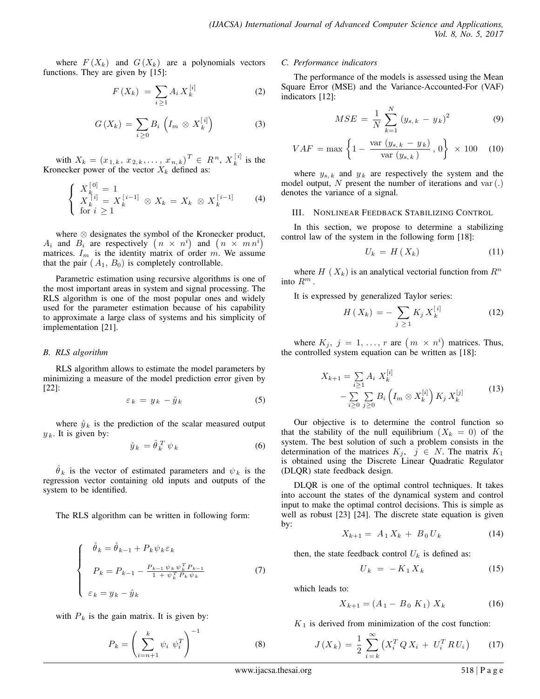where  $F(X_k)$  and  $G(X_k)$  are a polynomials vectors functions. They are given by [15]:

$$
F\left(X_{k}\right) = \sum_{i \geq 1} A_{i} X_{k}^{\left[i\right]} \tag{2}
$$

$$
G\left(X_{k}\right) = \sum_{i \geq 0} B_{i}\left(I_{m} \otimes X_{k}^{[i]}\right) \tag{3}
$$

with  $X_k = (x_{1,k}, x_{2,k}, \ldots, x_{n,k})^T \in R^n, X_k^{[i]}$  $\frac{1}{k}^{i}$  is the Kronecker power of the vector  $X_k$  defined as:

$$
\begin{cases}\nX_k^{[0]} = 1 \\
X_k^{[i]} = X_k^{[i-1]} \otimes X_k = X_k \otimes X_k^{[i-1]} \\
\text{for } i \ge 1\n\end{cases} \tag{4}
$$

where ⊗ designates the symbol of the Kronecker product,  $A_i$  and  $B_i$  are respectively  $(n \times n^i)$  and  $(n \times mn^i)$ matrices.  $I_m$  is the identity matrix of order m. We assume that the pair  $(A_1, B_0)$  is completely controllable.

Parametric estimation using recursive algorithms is one of the most important areas in system and signal processing. The RLS algorithm is one of the most popular ones and widely used for the parameter estimation because of his capability to approximate a large class of systems and his simplicity of implementation [21].

## *B. RLS algorithm*

RLS algorithm allows to estimate the model parameters by minimizing a measure of the model prediction error given by [22]:

$$
\varepsilon_k = y_k - \hat{y}_k \tag{5}
$$

where  $\hat{y}_k$  is the prediction of the scalar measured output  $y_k$ . It is given by:

$$
\hat{y}_k = \hat{\theta}_k^T \psi_k \tag{6}
$$

 $\hat{\theta}_k$  is the vector of estimated parameters and  $\psi_k$  is the regression vector containing old inputs and outputs of the system to be identified.

The RLS algorithm can be written in following form:

$$
\begin{cases}\n\hat{\theta}_k = \hat{\theta}_{k-1} + P_k \psi_k \varepsilon_k \\
P_k = P_{k-1} - \frac{P_{k-1} \psi_k \psi_k^T P_{k-1}}{1 + \psi_k^T P_k \psi_k} \\
\varepsilon_k = y_k - \hat{y}_k\n\end{cases}
$$
\n(7)

with  $P_k$  is the gain matrix. It is given by:

$$
P_k = \left(\sum_{i=n+1}^k \psi_i \ \psi_i^T\right)^{-1} \tag{8}
$$

### *C. Performance indicators*

The performance of the models is assessed using the Mean Square Error (MSE) and the Variance-Accounted-For (VAF) indicators [12]:

$$
MSE = \frac{1}{N} \sum_{k=1}^{N} (y_{s,k} - y_k)^2
$$
 (9)

$$
VAF = \max\left\{1 - \frac{\text{var}(y_{s,k} - y_k)}{\text{var}(y_{s,k})}, 0\right\} \times 100 \quad (10)
$$

where  $y_{s,k}$  and  $y_k$  are respectively the system and the model output, N present the number of iterations and var $(.)$ denotes the variance of a signal.

## III. NONLINEAR FEEDBACK STABILIZING CONTROL

In this section, we propose to determine a stabilizing control law of the system in the following form [18]:

$$
U_k = H\left(X_k\right) \tag{11}
$$

where H ( $X_k$ ) is an analytical vectorial function from  $R^n$ into  $R^m$ .

It is expressed by generalized Taylor series:

$$
H\left(X_{k}\right) = -\sum_{j\,\geq\,1} K_{j}\,X_{k}^{[i]}
$$
 (12)

where  $K_j$ ,  $j = 1, \ldots, r$  are  $(m \times n^i)$  matrices. Thus, the controlled system equation can be written as [18]:

$$
X_{k+1} = \sum_{i \ge 1} A_i \; X_k^{[i]} \\
-\sum_{i \ge 0} \sum_{j \ge 0} B_i \left( I_m \otimes X_k^{[i]} \right) K_j \; X_k^{[j]} \tag{13}
$$

Our objective is to determine the control function so that the stability of the null equilibrium  $(X_k = 0)$  of the system. The best solution of such a problem consists in the determination of the matrices  $K_j$ ,  $j \in N$ . The matrix  $K_1$ is obtained using the Discrete Linear Quadratic Regulator (DLQR) state feedback design.

DLQR is one of the optimal control techniques. It takes into account the states of the dynamical system and control input to make the optimal control decisions. This is simple as well as robust [23] [24]. The discrete state equation is given by:

$$
X_{k+1} = A_1 X_k + B_0 U_k \tag{14}
$$

then, the state feedback control  $U_k$  is defined as:

$$
U_k = -K_1 X_k \tag{15}
$$

which leads to:

$$
X_{k+1} = (A_1 - B_0 \ K_1) \ X_k \tag{16}
$$

 $K_1$  is derived from minimization of the cost function:

$$
J(X_k) = \frac{1}{2} \sum_{i=k}^{\infty} \left( X_i^T Q X_i + U_i^T R U_i \right) \tag{17}
$$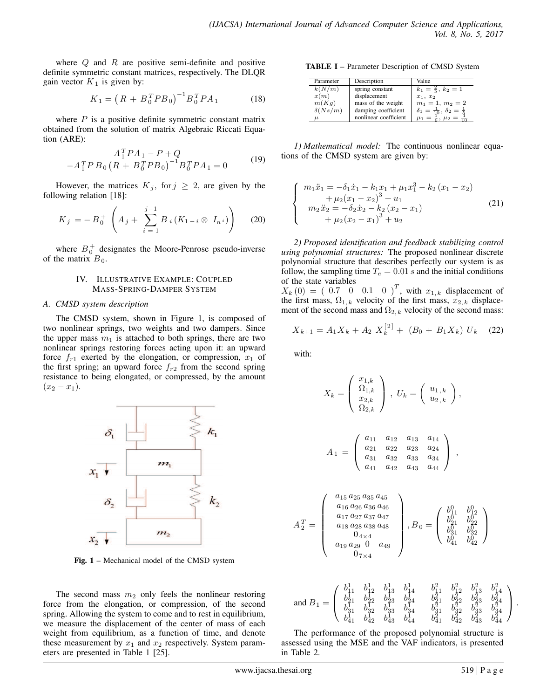where  $Q$  and  $R$  are positive semi-definite and positive definite symmetric constant matrices, respectively. The DLQR gain vector  $K_1$  is given by:

$$
K_1 = \left(R + B_0^T P B_0\right)^{-1} B_0^T P A_1 \tag{18}
$$

where  $P$  is a positive definite symmetric constant matrix obtained from the solution of matrix Algebraic Riccati Equation (ARE):

$$
A_1^T P A_1 - P + Q
$$
  
-A<sub>1</sub><sup>T</sup> P B<sub>0</sub> (R + B<sub>0</sub><sup>T</sup> P B<sub>0</sub>)<sup>-1</sup>B<sub>0</sub><sup>T</sup> P A<sub>1</sub> = 0 (19)

However, the matrices  $K_j$ , for  $j \geq 2$ , are given by the following relation [18]:

$$
K_j = -B_0^+ \left( A_j + \sum_{i=1}^{j-1} B_i (K_{1-i} \otimes I_{n^i}) \right) \qquad (20)
$$

where  $B_0^+$  designates the Moore-Penrose pseudo-inverse of the matrix  $B_0$ .

## IV. ILLUSTRATIVE EXAMPLE: COUPLED MASS-SPRING-DAMPER SYSTEM

## *A. CMSD system description*

The CMSD system, shown in Figure 1, is composed of two nonlinear springs, two weights and two dampers. Since the upper mass  $m_1$  is attached to both springs, there are two nonlinear springs restoring forces acting upon it: an upward force  $f_{r1}$  exerted by the elongation, or compression,  $x_1$  of the first spring; an upward force  $f_{r2}$  from the second spring resistance to being elongated, or compressed, by the amount  $(x_2 - x_1).$ 



Fig. 1 – Mechanical model of the CMSD system

The second mass  $m_2$  only feels the nonlinear restoring force from the elongation, or compression, of the second spring. Allowing the system to come and to rest in equilibrium, we measure the displacement of the center of mass of each weight from equilibrium, as a function of time, and denote these measurement by  $x_1$  and  $x_2$  respectively. System parameters are presented in Table 1 [25].

TABLE I – Parameter Description of CMSD System

| Parameter      | Description           | Value                                             |
|----------------|-----------------------|---------------------------------------------------|
| k(N/m)         | spring constant       | $k_1 = \frac{2}{5}, k_2 = 1$                      |
| x(m)           | displacement          | $x_1, x_2$                                        |
| m(Kq)          | mass of the weight    | $m_1 = 1, m_2 = 2$                                |
| $\delta(Ns/m)$ | damping coefficient   | $\delta_1 = \frac{1}{10}, \delta_2 = \frac{1}{5}$ |
| u              | nonlinear coefficient | $\mu_1 = \frac{1}{6}, \mu_2 = \frac{1}{6}$        |

*1) Mathematical model:* The continuous nonlinear equations of the CMSD system are given by:

$$
m_1\ddot{x}_1 = -\delta_1\dot{x}_1 - k_1x_1 + \mu_1x_1^3 - k_2(x_1 - x_2) + \mu_2(x_1 - x_2)^3 + u_1 m_2\ddot{x}_2 = -\delta_2\dot{x}_2 - k_2(x_2 - x_1) + \mu_2(x_2 - x_1)^3 + u_2
$$
\n(21)

*2) Proposed identification and feedback stabilizing control using polynomial structures:* The proposed nonlinear discrete polynomial structure that describes perfectly our system is as follow, the sampling time  $T_e = 0.01 s$  and the initial conditions of the state variables

 $X_k(0) = (0.7 \ 0 \ 0.1 \ 0)^T$ , with  $x_{1,k}$  displacement of the first mass,  $\Omega_{1,k}$  velocity of the first mass,  $x_{2,k}$  displacement of the second mass and  $\Omega_{2,k}$  velocity of the second mass:

$$
X_{k+1} = A_1 X_k + A_2 X_k^{[2]} + (B_0 + B_1 X_k) U_k \quad (22)
$$

with:

 $\sqrt{ }$  $\int$ 

 $\overline{\mathcal{L}}$ 

$$
X_k = \begin{pmatrix} x_{1,k} \\ \Omega_{1,k} \\ x_{2,k} \\ \Omega_{2,k} \end{pmatrix}, U_k = \begin{pmatrix} u_{1,k} \\ u_{2,k} \\ u_{2,k} \end{pmatrix},
$$

$$
A_1 = \begin{pmatrix} a_{11} & a_{12} & a_{13} & a_{14} \\ a_{21} & a_{22} & a_{23} & a_{24} \\ a_{31} & a_{32} & a_{33} & a_{34} \\ a_{41} & a_{42} & a_{43} & a_{44} \end{pmatrix},
$$

$$
A_2^T = \left(\begin{array}{c} a_{15} a_{25} a_{35} a_{45} \\ a_{16} a_{26} a_{36} a_{46} \\ a_{17} a_{27} a_{37} a_{47} \\ a_{18} a_{28} a_{38} a_{48} \\ a_{19} a_{29} 0 \\ a_{7 \times 4} \\ 0 \\ 0 \\ \end{array}\right), B_0 = \left(\begin{array}{cc} b_{11}^0 & b_{12}^0 \\ b_{21}^0 & b_{22}^0 \\ b_{31}^0 & b_{32}^0 \\ b_{41}^0 & b_{42}^0 \\ b_{41}^0 & b_{42}^0 \end{array}\right)
$$

$$
\text{and } B_1 = \left( \begin{array}{cccc} b_{11}^1 & b_{12}^1 & b_{13}^1 & b_{14}^1 & b_{11}^2 & b_{12}^2 & b_{13}^2 & b_{14}^2 \\ b_{21}^1 & b_{22}^1 & b_{23}^1 & b_{24}^1 & b_{21}^2 & b_{22}^2 & b_{23}^2 & b_{24}^2 \\ b_{31}^1 & b_{32}^1 & b_{33}^1 & b_{34}^1 & b_{31}^2 & b_{32}^2 & b_{33}^2 & b_{34}^2 \\ b_{41}^1 & b_{42}^1 & b_{43}^1 & b_{44}^1 & b_{41}^2 & b_{42}^2 & b_{43}^2 & b_{44}^2 \end{array} \right).
$$

The performance of the proposed polynomial structure is assessed using the MSE and the VAF indicators, is presented in Table 2.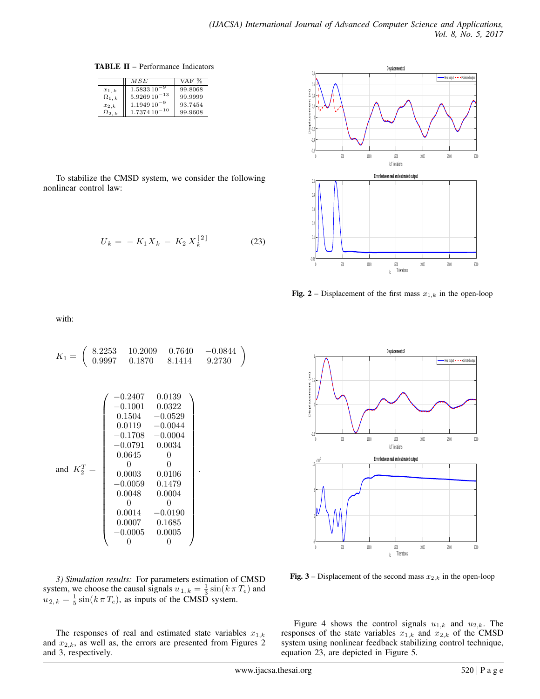TABLE II – Performance Indicators

|                | MSE              | VAF %   |
|----------------|------------------|---------|
| $x_{1,k}$      | $1.583310^{-9}$  | 99.8068 |
| $\Omega_{1,k}$ | $5.926910^{-13}$ | 99.9999 |
| $x_{2,k}$      | $1.194910^{-9}$  | 93.7454 |
| $\Omega_{2,k}$ | $1.737410^{-10}$ | 99.9608 |

To stabilize the CMSD system, we consider the following nonlinear control law:

$$
U_k = -K_1 X_k - K_2 X_k^{[2]}
$$
 (23)



Fig. 2 – Displacement of the first mass  $x_{1,k}$  in the open-loop

with:

$$
K_1 = \begin{pmatrix} 8.2253 & 10.2009 & 0.7640 & -0.0844 \\ 0.9997 & 0.1870 & 8.1414 & 9.2730 \end{pmatrix}
$$

$$
\begin{pmatrix} -0.2407 & 0.0139 \\ -0.1001 & 0.0322 \\ 0.1504 & -0.0529 \\ 0.0119 & -0.0044 \\ -0.1708 & -0.0004 \\ -0.0791 & 0.0034 \\ 0.0645 & 0 \\ 0.00645 & 0 \\ -0.0059 & 0.1479 \\ 0.0048 & 0.0004 \\ 0 & 0 \\ 0.0007 & 0.1685 \\ -0.0005 & 0.0005 \end{pmatrix}.
$$

*3) Simulation results:* For parameters estimation of CMSD system, we choose the causal signals  $u_{1,k} = \frac{1}{3} \sin(k \pi T_e)$  and  $u_{2,k} = \frac{1}{5} \sin(k \pi T_e)$ , as inputs of the CMSD system.

The responses of real and estimated state variables  $x_{1,k}$ and  $x_{2,k}$ , as well as, the errors are presented from Figures 2 and 3, respectively.



Fig. 3 – Displacement of the second mass  $x_{2,k}$  in the open-loop

Figure 4 shows the control signals  $u_{1,k}$  and  $u_{2,k}$ . The responses of the state variables  $x_{1,k}$  and  $x_{2,k}$  of the CMSD system using nonlinear feedback stabilizing control technique, equation 23, are depicted in Figure 5.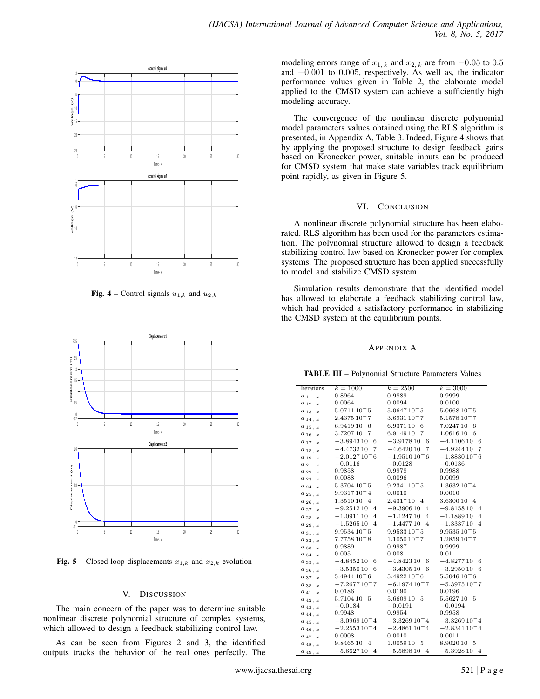

**Fig. 4** – Control signals  $u_{1,k}$  and  $u_{2,k}$ 



**Fig. 5** – Closed-loop displacements  $x_{1,k}$  and  $x_{2,k}$  evolution

## V. DISCUSSION

The main concern of the paper was to determine suitable nonlinear discrete polynomial structure of complex systems, which allowed to design a feedback stabilizing control law.

As can be seen from Figures 2 and 3, the identified outputs tracks the behavior of the real ones perfectly. The modeling errors range of  $x_{1,k}$  and  $x_{2,k}$  are from  $-0.05$  to 0.5 and −0.001 to 0.005, respectively. As well as, the indicator performance values given in Table 2, the elaborate model applied to the CMSD system can achieve a sufficiently high modeling accuracy.

The convergence of the nonlinear discrete polynomial model parameters values obtained using the RLS algorithm is presented, in Appendix A, Table 3. Indeed, Figure 4 shows that by applying the proposed structure to design feedback gains based on Kronecker power, suitable inputs can be produced for CMSD system that make state variables track equilibrium point rapidly, as given in Figure 5.

## VI. CONCLUSION

A nonlinear discrete polynomial structure has been elaborated. RLS algorithm has been used for the parameters estimation. The polynomial structure allowed to design a feedback stabilizing control law based on Kronecker power for complex systems. The proposed structure has been applied successfully to model and stabilize CMSD system.

Simulation results demonstrate that the identified model has allowed to elaborate a feedback stabilizing control law, which had provided a satisfactory performance in stabilizing the CMSD system at the equilibrium points.

## APPENDIX A

TABLE III – Polynomial Structure Parameters Values

| Iterations                  | $k = 1000$      | $k = 2500$      | $k = 3000$      |
|-----------------------------|-----------------|-----------------|-----------------|
| $a_{11,k}$                  | 0.8964          | 0.9889          | 0.9999          |
| $a_{12,k}$                  | 0.0064          | 0.0094          | 0.0100          |
| $a_{13,k}$                  | $5.071110^-5$   | $5.064710^-5$   | $5.066810^-5$   |
| $a_{14,k}$                  | $2.437510^-7$   | $3.693110^-7$   | $5.157810^-7$   |
| $a_{15,k}$                  | $6.941910^-6$   | $6.937110^-6$   | $7.024710^-$ 6  |
| $a_{16,k}$                  | $3.720710^-7$   | $6.914910 - 7$  | $1.061610^-$ 6  |
| $a_{17, k}$                 | $-3.894310^-$ 6 | $-3.917810^-$ 6 | $-4.110610^-$   |
| $a_{18,k}$                  | $-4.473210-7$   | $-4.642010-7$   | $-4.924410-7$   |
| $a_{19, k}$                 | $-2.012710^-$ 6 | $-1.951010^-$ 6 | $-1.883010^-$ 6 |
| $a_{21}$ , $k$              | $-0.0116$       | $-0.0128$       | $-0.0136$       |
| $a_{22,k}$                  | 0.9858          | 0.9978          | 0.9988          |
| $a_{23, k}$                 | 0.0088          | 0.0096          | 0.0099          |
| $a_{24,k}$                  | $5.370410^-5$   | $9.234110^-5$   | $1.363210^-4$   |
| $a_{25, k}$                 | $9.931710^-4$   | 0.0010          | 0.0010          |
| $a_{26}$ , $k$              | $1.351010^-4$   | $2.431710^-4$   | $3.630010^-4$   |
| $a_{27, k}$                 | $-9.251210^-4$  | $-9.390610^-4$  | $-9.815810^-4$  |
| $a_{28,k}$                  | $-1.091110^-4$  | $-1.124710^-4$  | $-1.188910^-4$  |
| $a_{29,k}$                  | $-1.526510^-4$  | $-1.447710^-4$  | $-1.333710^-4$  |
| $a_{31,k}$                  | $9.953410 - 5$  | $9.953310 - 5$  | $9.953510 - 5$  |
| $a_{32,k}$                  | $7.775810^-8$   | $1.105010^-7$   | $1.285910^-7$   |
| $a_{33,k}$                  | 0.9889          | 0.9987          | 0.9999          |
| $a_{34, k}$                 | 0.005           | 0.008           | 0.01            |
| $a_{35, k}$                 | $-4.845210^-$ 6 | $-4.842310^-$ 6 | $-4.827710^-$ 6 |
| $a_{36,k}$                  | $-3.535010^-$ 6 | $-3.430510^-$ 6 | $-3.295010^-$ 6 |
| $a_{37, k}$                 | $5.494410^-$ 6  | $5.492210 - 6$  | $5.504610^-$ 6  |
| $a_{38,k}$                  | $-7.267710-7$   | $-6.197410-7$   | $-5.397510^-7$  |
| $a_{41, k}$                 | 0.0186          | 0.0190          | 0.0196          |
| $a_{42}$ , $k$              | $5.710410^-$ 5  | $5.660910^-5$   | $5.562710^-5$   |
| $a_{43, k}$                 | $-0.0184$       | $-0.0191$       | $-0.0194$       |
| $a_{44, k}$                 | 0.9948          | 0.9954          | 0.9958          |
| $a_{45\; ,\; k}$            | $-3.096910^-4$  | $-3.326910^-4$  | $-3.326910^-4$  |
| $a_{46}$ , $k$              | $-2.255310^-4$  | $-2.486110^-$ 4 | $-2.834110^-$ 4 |
| $a_{47, k}$                 | 0.0008          | 0.0010          | 0.0011          |
| $a_{48}$ , $\boldsymbol{k}$ | $9.846510^-4$   | $1.005910^-5$   | $8.902010^-5$   |
| $a_{49,k}$                  | $-5.662710^-4$  | $-5.589810^-4$  | $-5.392810^-4$  |